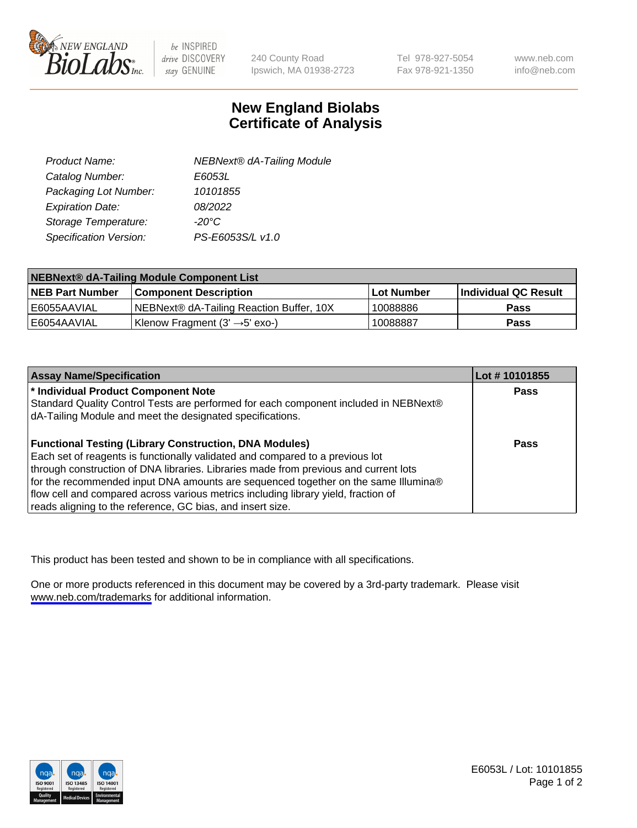

be INSPIRED drive DISCOVERY stay GENUINE

240 County Road Ipswich, MA 01938-2723 Tel 978-927-5054 Fax 978-921-1350

www.neb.com info@neb.com

## **New England Biolabs Certificate of Analysis**

| Product Name:           | <b>NEBNext® dA-Tailing Module</b> |
|-------------------------|-----------------------------------|
| Catalog Number:         | E6053L                            |
| Packaging Lot Number:   | 10101855                          |
| <b>Expiration Date:</b> | 08/2022                           |
| Storage Temperature:    | $-20^{\circ}$ C                   |
| Specification Version:  | PS-E6053S/L v1.0                  |

| NEBNext® dA-Tailing Module Component List |                                             |                   |                      |  |
|-------------------------------------------|---------------------------------------------|-------------------|----------------------|--|
| <b>NEB Part Number</b>                    | <b>Component Description</b>                | <b>Lot Number</b> | Individual QC Result |  |
| E6055AAVIAL                               | NEBNext® dA-Tailing Reaction Buffer, 10X    | 10088886          | <b>Pass</b>          |  |
| E6054AAVIAL                               | 'Klenow Fragment $(3' \rightarrow 5'$ exo-) | 10088887          | <b>Pass</b>          |  |

| <b>Assay Name/Specification</b>                                                      | Lot # 10101855 |
|--------------------------------------------------------------------------------------|----------------|
| * Individual Product Component Note                                                  | <b>Pass</b>    |
| Standard Quality Control Tests are performed for each component included in NEBNext® |                |
| dA-Tailing Module and meet the designated specifications.                            |                |
|                                                                                      |                |
| <b>Functional Testing (Library Construction, DNA Modules)</b>                        | <b>Pass</b>    |
| Each set of reagents is functionally validated and compared to a previous lot        |                |
| through construction of DNA libraries. Libraries made from previous and current lots |                |
| for the recommended input DNA amounts are sequenced together on the same Illumina®   |                |
| flow cell and compared across various metrics including library yield, fraction of   |                |
| reads aligning to the reference, GC bias, and insert size.                           |                |

This product has been tested and shown to be in compliance with all specifications.

One or more products referenced in this document may be covered by a 3rd-party trademark. Please visit <www.neb.com/trademarks>for additional information.